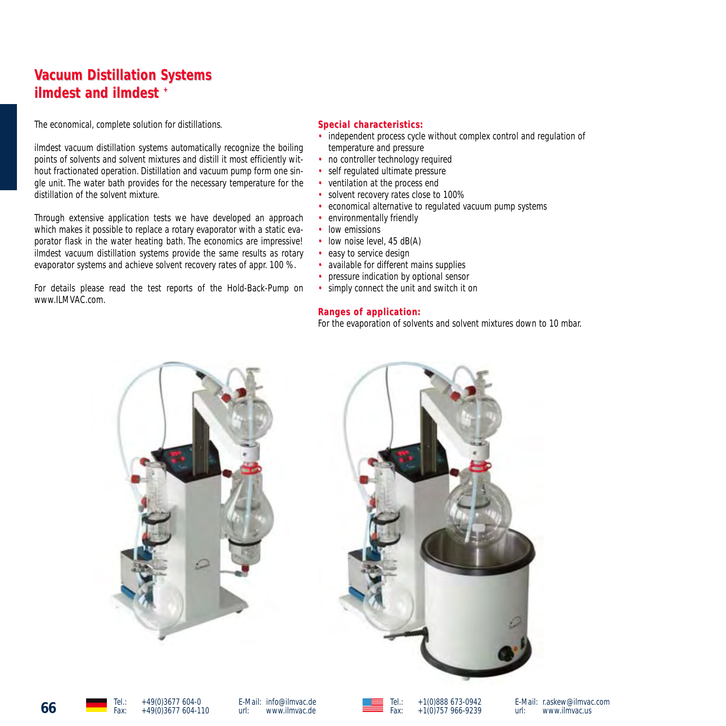# **Vacuum Distillation Systems ilmdest and ilmdest +**

The economical, complete solution for distillations.

ilmdest vacuum distillation systems automatically recognize the boiling points of solvents and solvent mixtures and distill it most efficiently without fractionated operation. Distillation and vacuum pump form one single unit. The water bath provides for the necessary temperature for the distillation of the solvent mixture.

Through extensive application tests we have developed an approach which makes it possible to replace a rotary evaporator with a static evaporator flask in the water heating bath. The economics are impressive! ilmdest vacuum distillation systems provide the same results as rotary evaporator systems and achieve solvent recovery rates of appr. 100 %.

For details please read the test reports of the Hold-Back-Pump on www.ILMVAC.com.

### $Special characteristics:$

- independent process cycle without complex control and regulation of temperature and pressure
- no controller technology required
- self regulated ultimate pressure
- ventilation at the process end
- solvent recovery rates close to 100%
- economical alternative to regulated vacuum pump systems
- environmentally friendly
- low emissions
- low noise level, 45 dB(A)
- easy to service design
- available for different mains supplies
- pressure indication by optional sensor
- simply connect the unit and switch it on

### **Ranges of application: of**

For the evaporation of solvents and solvent mixtures down to 10 mbar.



E-Mail: info@ilmvac.de<br>url: www.ilmvac.de www.ilmvac.de



Tel.: +1(0)888 673-0942 Fax: +1(0)757 966-9239

E-Mail: r.askew@ilmvac.com www.ilmvac.us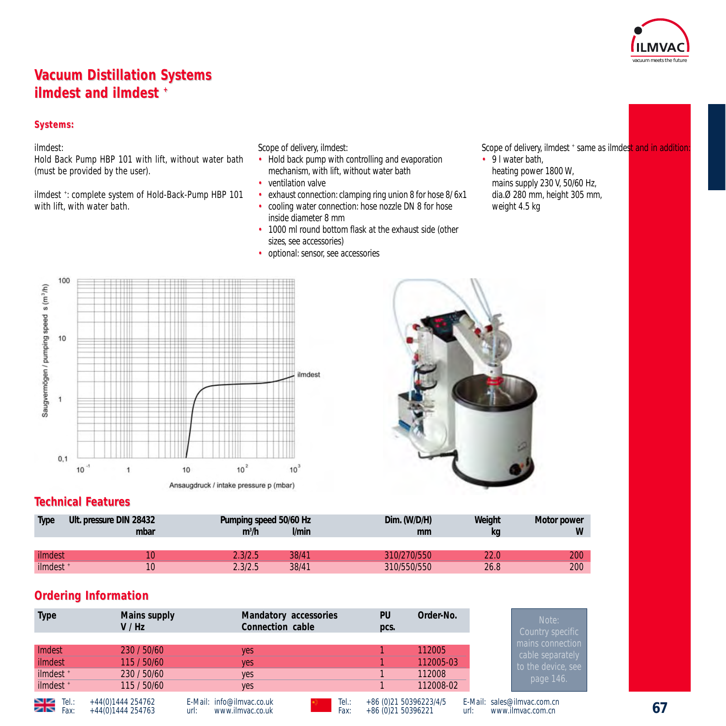

# **Vacuum Distillation Systems ilmdest and ilmdest +**

### **Systems: Systems:**

### ilmdest:

Hold Back Pump HBP 101 with lift, without water bath (must be provided by the user).

ilmdest + : complete system of Hold-Back-Pump HBP 101 with lift, with water bath.

Scope of delivery, ilmdest:

- Hold back pump with controlling and evaporation mechanism, with lift, without water bath
- ventilation valve
- exhaust connection: clamping ring union 8 for hose 8/ 6x1
- cooling water connection: hose nozzle DN 8 for hose inside diameter 8 mm
- 1000 ml round bottom flask at the exhaust side (other sizes, see accessories)
- optional: sensor, see accessories

Scope of delivery, ilmdest + same as ilmdest and in addition

• 9 I water bath. heating power 1800 W, mains supply 230 V, 50/60 Hz, dia.Ø 280 mm, height 305 mm, weight 4.5 kg





## **Technical F echnical Features**

| <b>Type</b>          | Ult. pressure DIN 28432<br>mbar | Pumping speed 50/60 Hz<br>l/min<br>$m^3/h$ | Dim. (W/D/H)<br>mm | Weight<br>kg | Motor power<br>W |
|----------------------|---------------------------------|--------------------------------------------|--------------------|--------------|------------------|
|                      |                                 |                                            |                    |              |                  |
| ilmdest              |                                 | 38/41<br>2.3/2.5                           | 310/270/550        | 22.0         | 200              |
| ilmdest <sup>+</sup> |                                 | 38/41<br>2.3/2.5                           | 310/550/550        | 26.8         | 200              |

## **Ordering Information**

| <b>Type</b>                 | Mains supply<br>V/Hz                   | Mandatory accessories<br>Connection cable             |               | PU<br>pcs.                                     | Order-No. | Note:<br>Country specific                                |  |
|-----------------------------|----------------------------------------|-------------------------------------------------------|---------------|------------------------------------------------|-----------|----------------------------------------------------------|--|
|                             |                                        |                                                       |               |                                                |           | mains connection                                         |  |
| Imdest                      | 230 / 50/60                            | <b>ves</b>                                            |               |                                                | 112005    | cable separately                                         |  |
| ilmdest                     | 115 / 50/60                            | <b>Ves</b>                                            |               |                                                | 112005-03 | to the device, see                                       |  |
| ilmdest +                   | 230 / 50/60                            | <b>yes</b>                                            |               |                                                | 112008    | page 146.                                                |  |
| ilmdest +                   | 115/50/60                              | yes                                                   |               |                                                | 112008-02 |                                                          |  |
| $\geq$ Tel.:<br>$\geq$ Fax: | +44(0)1444 254762<br>+44(0)1444 254763 | E-Mail: info@ilmvac.co.uk<br>www.ilmvac.co.uk<br>url: | Tel.:<br>Fax: | +86 (0) 21 50396223/4/5<br>+86 (0) 21 50396221 |           | E-Mail: sales@ilmvac.com.cn<br>www.ilmvac.com.cn<br>url: |  |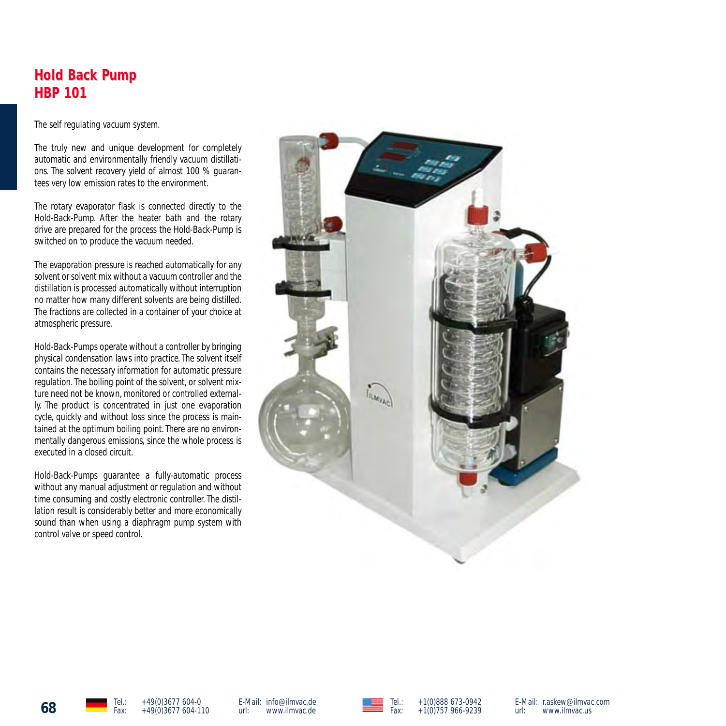## **Hold Back Pump HBP 101 HBP 101**

The self regulating vacuum system.

The truly new and unique development for completely automatic and environmentally friendly vacuum distillations. The solvent recovery yield of almost 100 % guarantees very low emission rates to the environment.

The rotary evaporator flask is connected directly to the Hold-Back-Pump. After the heater bath and the rotary drive are prepared for the process the Hold-Back-Pump is switched on to produce the vacuum needed.

The evaporation pressure is reached automatically for any solvent or solvent mix without a vacuum controller and the distillation is processed automatically without interruption no matter how many different solvents are being distilled. The fractions are collected in a container of your choice at atmospheric pressure.

Hold-Back-Pumps operate without a controller by bringing physical condensation laws into practice. The solvent itself contains the necessary information for automatic pressure regulation.The boiling point of the solvent, or solvent mixture need not be known, monitored or controlled externally. The product is concentrated in just one evaporation cycle, quickly and without loss since the process is maintained at the optimum boiling point. There are no environmentally dangerous emissions, since the whole process is executed in a closed circuit.

Hold-Back-Pumps guarantee a fully-automatic process without any manual adjustment or regulation and without time consuming and costly electronic controller. The distillation result is considerably better and more economically sound than when using a diaphragm pump system with control valve or speed control.





E-Mail: info@ilmvac.de url: www.ilmvac.de



E-Mail: r.askew@ilmvac.com<br>url: www.ilmvac.us www.ilmvac.us